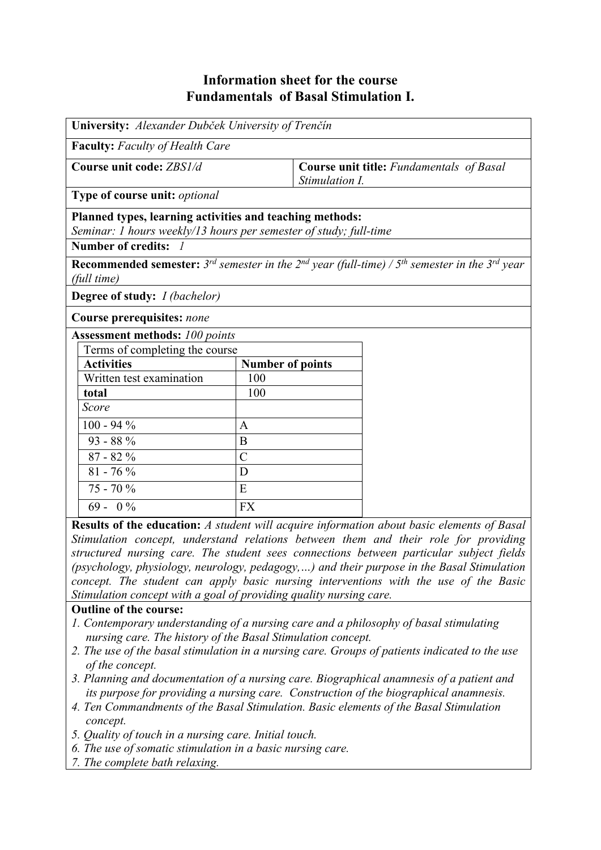## **Information sheet for the course Fundamentals of Basal Stimulation I.**

| University: Alexander Dubček University of Trenčín                                                                                                                  |                         |                                                            |  |  |  |  |  |
|---------------------------------------------------------------------------------------------------------------------------------------------------------------------|-------------------------|------------------------------------------------------------|--|--|--|--|--|
| <b>Faculty:</b> Faculty of Health Care                                                                                                                              |                         |                                                            |  |  |  |  |  |
| Course unit code: ZBS1/d                                                                                                                                            |                         | Course unit title: Fundamentals of Basal<br>Stimulation I. |  |  |  |  |  |
| Type of course unit: optional                                                                                                                                       |                         |                                                            |  |  |  |  |  |
| Planned types, learning activities and teaching methods:<br>Seminar: 1 hours weekly/13 hours per semester of study; full-time                                       |                         |                                                            |  |  |  |  |  |
| Number of credits: 1                                                                                                                                                |                         |                                                            |  |  |  |  |  |
| <b>Recommended semester:</b> 3 <sup>rd</sup> semester in the 2 <sup>nd</sup> year (full-time) / 5 <sup>th</sup> semester in the 3 <sup>rd</sup> year<br>(full time) |                         |                                                            |  |  |  |  |  |
| <b>Degree of study:</b> <i>I (bachelor)</i>                                                                                                                         |                         |                                                            |  |  |  |  |  |
| Course prerequisites: none                                                                                                                                          |                         |                                                            |  |  |  |  |  |
| <b>Assessment methods: 100 points</b>                                                                                                                               |                         |                                                            |  |  |  |  |  |
| Terms of completing the course                                                                                                                                      |                         |                                                            |  |  |  |  |  |
| <b>Activities</b>                                                                                                                                                   | <b>Number of points</b> |                                                            |  |  |  |  |  |
| Written test examination                                                                                                                                            | 100                     |                                                            |  |  |  |  |  |
| total                                                                                                                                                               | 100                     |                                                            |  |  |  |  |  |
| Score                                                                                                                                                               |                         |                                                            |  |  |  |  |  |
| $100 - 94 %$                                                                                                                                                        | $\mathbf{A}$            |                                                            |  |  |  |  |  |
| $93 - 88\%$                                                                                                                                                         | B                       |                                                            |  |  |  |  |  |
| $87 - 82%$                                                                                                                                                          | $\mathcal{C}$           |                                                            |  |  |  |  |  |
| $81 - 76 %$                                                                                                                                                         | D                       |                                                            |  |  |  |  |  |
| $75 - 70%$                                                                                                                                                          | E                       |                                                            |  |  |  |  |  |
| $69 - 0\%$                                                                                                                                                          | <b>FX</b>               |                                                            |  |  |  |  |  |

**Results of the education:** *A student will acquire information about basic elements of Basal Stimulation concept, understand relations between them and their role for providing structured nursing care. The student sees connections between particular subject fields (psychology, physiology, neurology, pedagogy,…) and their purpose in the Basal Stimulation concept. The student can apply basic nursing interventions with the use of the Basic Stimulation concept with a goal of providing quality nursing care.*

## **Outline of the course:**

- *1. Contemporary understanding of a nursing care and a philosophy of basal stimulating nursing care. The history of the Basal Stimulation concept.*
- *2. The use of the basal stimulation in a nursing care. Groups of patients indicated to the use of the concept.*
- *3. Planning and documentation of a nursing care. Biographical anamnesis of a patient and its purpose for providing a nursing care. Construction of the biographical anamnesis.*
- *4. Ten Commandments of the Basal Stimulation. Basic elements of the Basal Stimulation concept.*
- *5. Quality of touch in a nursing care. Initial touch.*
- *6. The use of somatic stimulation in a basic nursing care.*
- *7. The complete bath relaxing.*